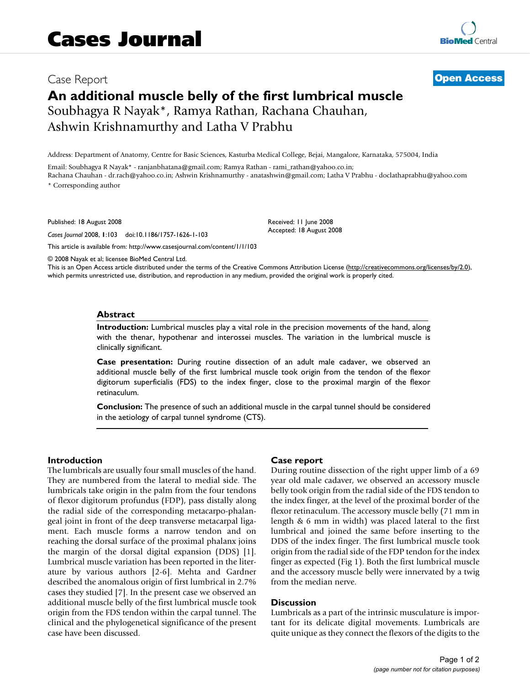# Case Report **[Open Access](http://www.biomedcentral.com/info/about/charter/) An additional muscle belly of the first lumbrical muscle** Soubhagya R Nayak\*, Ramya Rathan, Rachana Chauhan, Ashwin Krishnamurthy and Latha V Prabhu

Address: Department of Anatomy, Centre for Basic Sciences, Kasturba Medical College, Bejai, Mangalore, Karnataka, 575004, India

Email: Soubhagya R Nayak\* - ranjanbhatana@gmail.com; Ramya Rathan - rami\_rathan@yahoo.co.in; Rachana Chauhan - dr.rach@yahoo.co.in; Ashwin Krishnamurthy - anatashwin@gmail.com; Latha V Prabhu - doclathaprabhu@yahoo.com \* Corresponding author

Published: 18 August 2008

*Cases Journal* 2008, **1**:103 doi:10.1186/1757-1626-1-103

[This article is available from: http://www.casesjournal.com/content/1/1/103](http://www.casesjournal.com/content/1/1/103)

Received: 11 June 2008 Accepted: 18 August 2008

© 2008 Nayak et al; licensee BioMed Central Ltd.

This is an Open Access article distributed under the terms of the Creative Commons Attribution License [\(http://creativecommons.org/licenses/by/2.0\)](http://creativecommons.org/licenses/by/2.0), which permits unrestricted use, distribution, and reproduction in any medium, provided the original work is properly cited.

#### **Abstract**

**Introduction:** Lumbrical muscles play a vital role in the precision movements of the hand, along with the thenar, hypothenar and interossei muscles. The variation in the lumbrical muscle is clinically significant.

**Case presentation:** During routine dissection of an adult male cadaver, we observed an additional muscle belly of the first lumbrical muscle took origin from the tendon of the flexor digitorum superficialis (FDS) to the index finger, close to the proximal margin of the flexor retinaculum.

**Conclusion:** The presence of such an additional muscle in the carpal tunnel should be considered in the aetiology of carpal tunnel syndrome (CTS).

### **Introduction**

The lumbricals are usually four small muscles of the hand. They are numbered from the lateral to medial side. The lumbricals take origin in the palm from the four tendons of flexor digitorum profundus (FDP), pass distally along the radial side of the corresponding metacarpo-phalangeal joint in front of the deep transverse metacarpal ligament. Each muscle forms a narrow tendon and on reaching the dorsal surface of the proximal phalanx joins the margin of the dorsal digital expansion (DDS) [1]. Lumbrical muscle variation has been reported in the literature by various authors [2-6]. Mehta and Gardner described the anomalous origin of first lumbrical in 2.7% cases they studied [7]. In the present case we observed an additional muscle belly of the first lumbrical muscle took origin from the FDS tendon within the carpal tunnel. The clinical and the phylogenetical significance of the present case have been discussed.

#### **Case report**

During routine dissection of the right upper limb of a 69 year old male cadaver, we observed an accessory muscle belly took origin from the radial side of the FDS tendon to the index finger, at the level of the proximal border of the flexor retinaculum. The accessory muscle belly (71 mm in length & 6 mm in width) was placed lateral to the first lumbrical and joined the same before inserting to the DDS of the index finger. The first lumbrical muscle took origin from the radial side of the FDP tendon for the index finger as expected (Fig 1). Both the first lumbrical muscle and the accessory muscle belly were innervated by a twig from the median nerve.

#### **Discussion**

Lumbricals as a part of the intrinsic musculature is important for its delicate digital movements. Lumbricals are quite unique as they connect the flexors of the digits to the